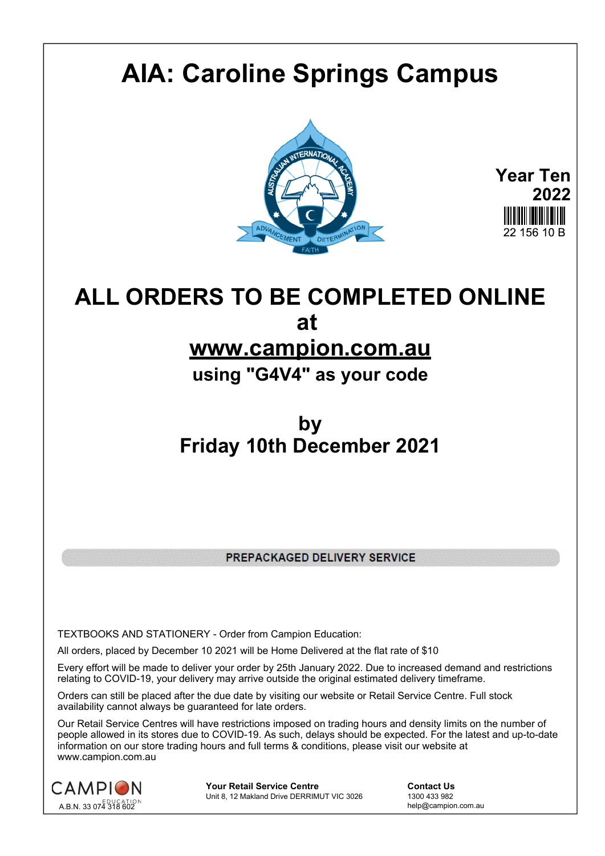# **AIA: Caroline Springs Campus**



**Year Ten 2022** 22 156 10 B

## **ALL ORDERS TO BE COMPLETED ONLINE at**

### **www.campion.com.au**

**using "G4V4" as your code**

### **by Friday 10th December 2021**

PREPACKAGED DELIVERY SERVICE

TEXTBOOKS AND STATIONERY - Order from Campion Education:

All orders, placed by December 10 2021 will be Home Delivered at the flat rate of \$10

Every effort will be made to deliver your order by 25th January 2022. Due to increased demand and restrictions relating to COVID-19, your delivery may arrive outside the original estimated delivery timeframe.

Orders can still be placed after the due date by visiting our website or Retail Service Centre. Full stock availability cannot always be guaranteed for late orders.

Our Retail Service Centres will have restrictions imposed on trading hours and density limits on the number of people allowed in its stores due to COVID-19. As such, delays should be expected. For the latest and up-to-date information on our store trading hours and full terms & conditions, please visit our website at www.campion.com.au



**Your Retail Service Centre Contact Us**<br>
Unit 8, 12 Makland Drive DERRIMUT VIC 3026
1300 433 982 Unit 8, 12 Makland Drive DERRIMUT VIC 3026

help@campion.com.au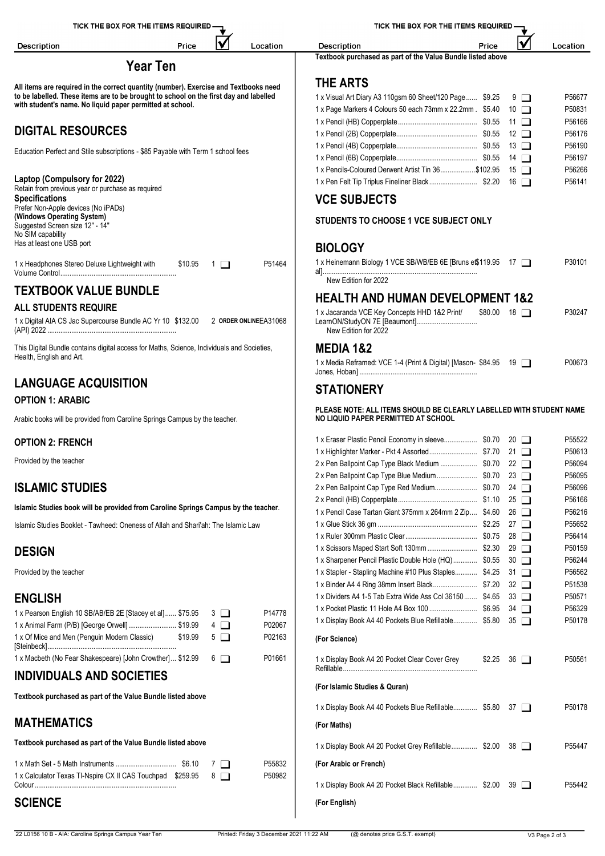| TICK THE BOX FOR THE ITEMS REQUIRED -                                                      | TICK THE BOX FOR THE ITEMS REQUIRED -                                   |                  |  |  |  |  |
|--------------------------------------------------------------------------------------------|-------------------------------------------------------------------------|------------------|--|--|--|--|
| V<br>Location<br><b>Description</b><br>Price                                               | V<br><b>Description</b><br>Price                                        | Location         |  |  |  |  |
|                                                                                            | Textbook purchased as part of the Value Bundle listed above             |                  |  |  |  |  |
| <b>Year Ten</b>                                                                            |                                                                         |                  |  |  |  |  |
| All items are required in the correct quantity (number). Exercise and Textbooks need       | <b>THE ARTS</b>                                                         |                  |  |  |  |  |
| to be labelled. These items are to be brought to school on the first day and labelled      | 1 x Visual Art Diary A3 110gsm 60 Sheet/120 Page \$9.25<br>9 □          | P56677           |  |  |  |  |
| with student's name. No liquid paper permitted at school.                                  | 1 x Page Markers 4 Colours 50 each 73mm x 22.2mm. \$5.40<br>$10$ $\Box$ | P50831           |  |  |  |  |
|                                                                                            | $11$ $\Box$                                                             | P56166           |  |  |  |  |
| <b>DIGITAL RESOURCES</b>                                                                   | 12 $\Box$                                                               | P56176           |  |  |  |  |
| Education Perfect and Stile subscriptions - \$85 Payable with Term 1 school fees           | 13 $\Box$                                                               | P56190           |  |  |  |  |
|                                                                                            | 14 $\Box$                                                               | P56197           |  |  |  |  |
|                                                                                            | 1 x Pencils-Coloured Derwent Artist Tin 36\$102.95<br>$15$ $\Box$       | P56266           |  |  |  |  |
| Laptop (Compulsory for 2022)<br>Retain from previous year or purchase as required          | 1 x Pen Felt Tip Triplus Fineliner Black \$2.20 16                      | P56141           |  |  |  |  |
| <b>Specifications</b>                                                                      | <b>VCE SUBJECTS</b>                                                     |                  |  |  |  |  |
| Prefer Non-Apple devices (No iPADs)<br>(Windows Operating System)                          |                                                                         |                  |  |  |  |  |
| Suggested Screen size 12" - 14"<br>No SIM capability                                       | STUDENTS TO CHOOSE 1 VCE SUBJECT ONLY                                   |                  |  |  |  |  |
| Has at least one USB port                                                                  | <b>BIOLOGY</b>                                                          |                  |  |  |  |  |
| 1 x Headphones Stereo Deluxe Lightweight with<br>\$10.95<br>P51464<br>$\Box$ 1             | 1 x Heinemann Biology 1 VCE SB/WB/EB 6E [Bruns et\$119.95 17            | P30101           |  |  |  |  |
|                                                                                            |                                                                         |                  |  |  |  |  |
|                                                                                            | New Edition for 2022                                                    |                  |  |  |  |  |
| <b>TEXTBOOK VALUE BUNDLE</b>                                                               | <b>HEALTH AND HUMAN DEVELOPMENT 1&amp;2</b>                             |                  |  |  |  |  |
| <b>ALL STUDENTS REQUIRE</b>                                                                | 1 x Jacaranda VCE Key Concepts HHD 1&2 Print/<br>$$80.00$ 18 $\Box$     | P30247           |  |  |  |  |
| 1 x Digital AIA CS Jac Supercourse Bundle AC Yr 10 \$132.00 2 ORDER ONLINEEA31068          | LearnON/StudyON 7E [Beaumont]<br>New Edition for 2022                   |                  |  |  |  |  |
| This Digital Bundle contains digital access for Maths, Science, Individuals and Societies, | <b>MEDIA 1&amp;2</b>                                                    |                  |  |  |  |  |
| Health, English and Art.                                                                   | 1 x Media Reframed: VCE 1-4 (Print & Digital) [Mason- \$84.95 19        | P00673           |  |  |  |  |
| <b>LANGUAGE ACQUISITION</b>                                                                |                                                                         |                  |  |  |  |  |
|                                                                                            | <b>STATIONERY</b>                                                       |                  |  |  |  |  |
| <b>OPTION 1: ARABIC</b>                                                                    | PLEASE NOTE: ALL ITEMS SHOULD BE CLEARLY LABELLED WITH STUDENT NAME     |                  |  |  |  |  |
| Arabic books will be provided from Caroline Springs Campus by the teacher.                 | NO LIQUID PAPER PERMITTED AT SCHOOL                                     |                  |  |  |  |  |
|                                                                                            |                                                                         |                  |  |  |  |  |
| <b>OPTION 2: FRENCH</b>                                                                    | 1 x Eraser Plastic Pencil Economy in sleeve \$0.70 20                   | P55522           |  |  |  |  |
| Provided by the teacher                                                                    |                                                                         | P50613           |  |  |  |  |
|                                                                                            | 2 x Pen Ballpoint Cap Type Black Medium  \$0.70 22                      | P56094<br>P56095 |  |  |  |  |
| <b>ISLAMIC STUDIES</b>                                                                     |                                                                         | P56096           |  |  |  |  |
|                                                                                            | $25$ $\Box$                                                             | P56166           |  |  |  |  |
| Islamic Studies book will be provided from Caroline Springs Campus by the teacher.         | 1 x Pencil Case Tartan Giant 375mm x 264mm 2 Zip \$4.60<br>$26$ $\Box$  | P56216           |  |  |  |  |
| Islamic Studies Booklet - Tawheed: Oneness of Allah and Shari'ah: The Islamic Law          | 27 $\Box$                                                               | P55652           |  |  |  |  |
|                                                                                            | $28$ $\Box$                                                             | P56414           |  |  |  |  |
|                                                                                            | $29$ $\Box$                                                             | P50159           |  |  |  |  |
| <b>DESIGN</b>                                                                              | 1 x Sharpener Pencil Plastic Double Hole (HQ)  \$0.55<br>$30$ $\Box$    | P56244           |  |  |  |  |
| Provided by the teacher                                                                    | 1 x Stapler - Stapling Machine #10 Plus Staples \$4.25<br>31 $\Box$     | P56562           |  |  |  |  |
|                                                                                            | $32\Box$                                                                | P51538           |  |  |  |  |
| <b>ENGLISH</b>                                                                             | 1 x Dividers A4 1-5 Tab Extra Wide Ass Col 36150  \$4.65<br>$33$ $\Box$ | P50571           |  |  |  |  |
| P14778<br>1 x Pearson English 10 SB/AB/EB 2E [Stacey et al] \$75.95<br>$3\Box$             |                                                                         | P56329           |  |  |  |  |
| P02067<br>1 x Animal Farm (P/B) [George Orwell] \$19.99<br>$4\Box$                         | 1 x Display Book A4 40 Pockets Blue Refillable \$5.80 35                | P50178           |  |  |  |  |
| 1 x Of Mice and Men (Penguin Modern Classic)<br>\$19.99<br>$5\Box$<br>P02163               | (For Science)                                                           |                  |  |  |  |  |
| 1 x Macbeth (No Fear Shakespeare) [John Crowther] \$12.99<br>$6\Box$<br>P01661             | 1 x Display Book A4 20 Pocket Clear Cover Grey<br>$$2.25$ 36 $\Box$     | P50561           |  |  |  |  |
| <b>INDIVIDUALS AND SOCIETIES</b>                                                           |                                                                         |                  |  |  |  |  |
| Textbook purchased as part of the Value Bundle listed above                                | (For Islamic Studies & Quran)                                           |                  |  |  |  |  |
|                                                                                            | 1 x Display Book A4 40 Pockets Blue Refillable \$5.80 37                | P50178           |  |  |  |  |
| <b>MATHEMATICS</b>                                                                         | (For Maths)                                                             |                  |  |  |  |  |
|                                                                                            |                                                                         |                  |  |  |  |  |

**Textbook purchased as part of the Value Bundle listed above**

|                                                              | P55832 | (For Arabic or French)                          |
|--------------------------------------------------------------|--------|-------------------------------------------------|
| 1 x Calculator Texas TI-Nspire CX II CAS Touchpad \$259.95 8 | P50982 |                                                 |
| Colour                                                       |        | 1 x Display Book A4 20 Pocket Black Refillable. |

### **SCIENCE**

**(For English)**

1 x Display Book A4 20 Pocket Grey Refillable................. \$2.00 38

1 x Display Book A4 20 Pocket Black Refillable............... \$2.00 39 PS5442